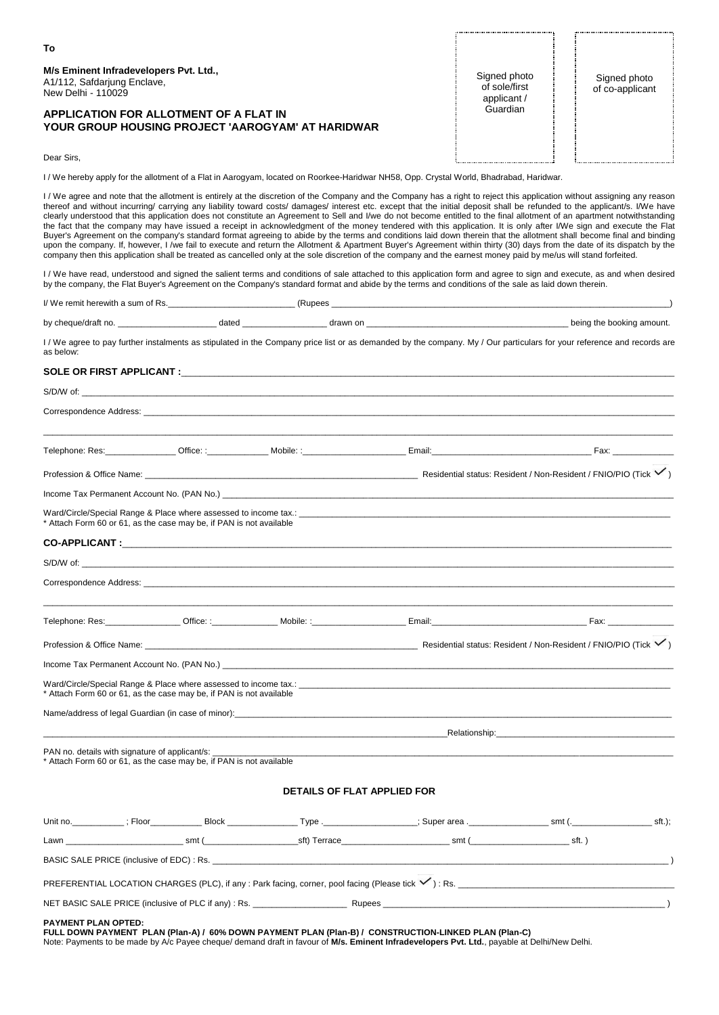| To                                                                                                 |                                              |                                 |
|----------------------------------------------------------------------------------------------------|----------------------------------------------|---------------------------------|
| M/s Eminent Infradevelopers Pvt. Ltd.,<br>A1/112, Safdarjung Enclave,<br>New Delhi - 110029        | Signed photo<br>of sole/first<br>applicant / | Signed photo<br>of co-applicant |
| <b>APPLICATION FOR ALLOTMENT OF A FLAT IN</b><br>YOUR GROUP HOUSING PROJECT 'AAROGYAM' AT HARIDWAR | Guardian                                     |                                 |
| Dear Sirs.                                                                                         |                                              |                                 |

 $\dddot{a}$ 

I / We hereby apply for the allotment of a Flat in Aarogyam, located on Roorkee-Haridwar NH58, Opp. Crystal World, Bhadrabad, Haridwar.

I/ We agree and note that the allotment is entirely at the discretion of the Company and the Company has a right to reject this application without assigning any reason thereof and without incurring/ carrying any liability toward costs/ damages/ interest etc. except that the initial deposit shall be refunded to the applicant/s. I/We have clearly understood that this application does not constitute an Agreement to Sell and I/we do not become entitled to the final allotment of an apartment notwithstanding the fact that the company may have issued a receipt in acknowledgment of the money tendered with this application. It is only after I/We sign and execute the Flat Buyer's Agreement on the company's standard format agreeing to abide by the terms and conditions laid down therein that the allotment shall become final and binding upon the company. If, however, I /we fail to execute and return the Allotment & Apartment Buyer's Agreement within thirty (30) days from the date of its dispatch by the company then this application shall be treated as cancelled only at the sole discretion of the company and the earnest money paid by me/us will stand forfeited.

I / We have read, understood and signed the salient terms and conditions of sale attached to this application form and agree to sign and execute, as and when desired by the company, the Flat Buyer's Agreement on the Company's standard format and abide by the terms and conditions of the sale as laid down therein.

| I/We remit herewith a sum of Rs. | Pungge<br>$\cdots$ |  |
|----------------------------------|--------------------|--|
|----------------------------------|--------------------|--|

| by chequ | datec | $\sim$<br> | nount.<br>. . |
|----------|-------|------------|---------------|
|          |       |            |               |

I / We agree to pay further instalments as stipulated in the Company price list or as demanded by the company. My / Our particulars for your reference and records are as below:

## SOLE OR FIRST APPLICANT :

|                                                                                                                       |                                                                                                                        | Correspondence Address: experience and the contract of the contract of the contract of the contract of the contract of the contract of the contract of the contract of the contract of the contract of the contract of the con |                                                                                                                                                                                                                               |  |
|-----------------------------------------------------------------------------------------------------------------------|------------------------------------------------------------------------------------------------------------------------|--------------------------------------------------------------------------------------------------------------------------------------------------------------------------------------------------------------------------------|-------------------------------------------------------------------------------------------------------------------------------------------------------------------------------------------------------------------------------|--|
|                                                                                                                       |                                                                                                                        | Telephone: Res: Coffice: : Mobile: : Nobile: : Email: Corp. 2014 - The Pax: Fax: Fax: 79 - The Pax: 7                                                                                                                          |                                                                                                                                                                                                                               |  |
|                                                                                                                       |                                                                                                                        |                                                                                                                                                                                                                                |                                                                                                                                                                                                                               |  |
|                                                                                                                       |                                                                                                                        | Income Tax Permanent Account No. (PAN No.) Case of the Contract of the Contract of the Contract of the Contract of the Contract of the Contract of the Contract of the Contract of the Contract of the Contract of the Contrac |                                                                                                                                                                                                                               |  |
| * Attach Form 60 or 61, as the case may be, if PAN is not available                                                   |                                                                                                                        |                                                                                                                                                                                                                                |                                                                                                                                                                                                                               |  |
|                                                                                                                       |                                                                                                                        |                                                                                                                                                                                                                                |                                                                                                                                                                                                                               |  |
|                                                                                                                       |                                                                                                                        |                                                                                                                                                                                                                                |                                                                                                                                                                                                                               |  |
|                                                                                                                       |                                                                                                                        |                                                                                                                                                                                                                                |                                                                                                                                                                                                                               |  |
|                                                                                                                       |                                                                                                                        |                                                                                                                                                                                                                                |                                                                                                                                                                                                                               |  |
|                                                                                                                       |                                                                                                                        |                                                                                                                                                                                                                                |                                                                                                                                                                                                                               |  |
|                                                                                                                       |                                                                                                                        | Income Tax Permanent Account No. (PAN No.) experience and account of the contract of the contract of the control of the control of the control of the control of the control of the control of the control of the control of t |                                                                                                                                                                                                                               |  |
| * Attach Form 60 or 61, as the case may be, if PAN is not available                                                   |                                                                                                                        |                                                                                                                                                                                                                                |                                                                                                                                                                                                                               |  |
|                                                                                                                       |                                                                                                                        |                                                                                                                                                                                                                                |                                                                                                                                                                                                                               |  |
|                                                                                                                       | <u> 1989 - Johann John Harry Harry Harry Harry Harry Harry Harry Harry Harry Harry Harry Harry Harry Harry Harry H</u> |                                                                                                                                                                                                                                | Relationship: The contract of the contract of the contract of the contract of the contract of the contract of the contract of the contract of the contract of the contract of the contract of the contract of the contract of |  |
| PAN no. details with signature of applicant/s:<br>* Attach Form 60 or 61, as the case may be, if PAN is not available |                                                                                                                        |                                                                                                                                                                                                                                |                                                                                                                                                                                                                               |  |
|                                                                                                                       | <b>DETAILS OF FLAT APPLIED FOR</b>                                                                                     |                                                                                                                                                                                                                                |                                                                                                                                                                                                                               |  |
|                                                                                                                       |                                                                                                                        |                                                                                                                                                                                                                                |                                                                                                                                                                                                                               |  |
|                                                                                                                       |                                                                                                                        |                                                                                                                                                                                                                                |                                                                                                                                                                                                                               |  |
|                                                                                                                       |                                                                                                                        |                                                                                                                                                                                                                                |                                                                                                                                                                                                                               |  |
|                                                                                                                       |                                                                                                                        |                                                                                                                                                                                                                                |                                                                                                                                                                                                                               |  |
|                                                                                                                       |                                                                                                                        |                                                                                                                                                                                                                                |                                                                                                                                                                                                                               |  |

## **PAYMENT PLAN OPTED:**

**FULL DOWN PAYMENT PLAN (Plan-A) / 60% DOWN PAYMENT PLAN (Plan-B) / CONSTRUCTION-LINKED PLAN (Plan-C)** Note: Payments to be made by A/c Payee cheque/ demand draft in favour of **M/s. Eminent Infradevelopers Pvt. Ltd.**, payable at Delhi/New Delhi.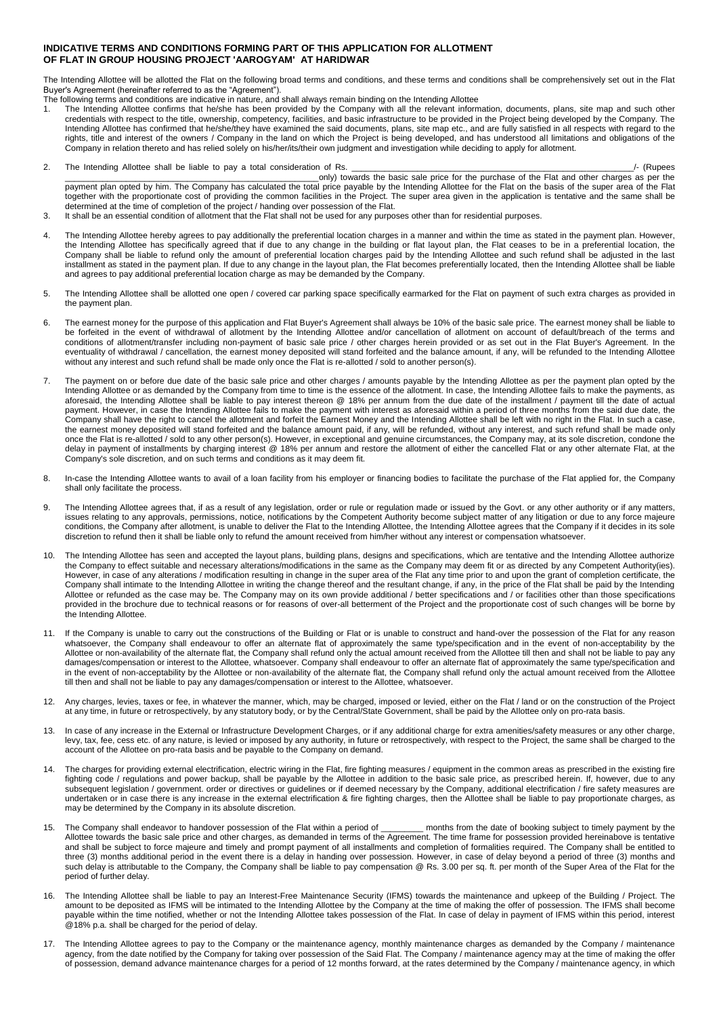## **INDICATIVE TERMS AND CONDITIONS FORMING PART OF THIS APPLICATION FOR ALLOTMENT OF FLAT IN GROUP HOUSING PROJECT 'AAROGYAM' AT HARIDWAR**

The Intending Allottee will be allotted the Flat on the following broad terms and conditions, and these terms and conditions shall be comprehensively set out in the Flat Buyer's Agreement (hereinafter referred to as the "Agreement").

- The following terms and conditions are indicative in nature, and shall always remain binding on the Intending Allottee
- 1. The Intending Allottee confirms that he/she has been provided by the Company with all the relevant information, documents, plans, site map and such other credentials with respect to the title, ownership, competency, facilities, and basic infrastructure to be provided in the Project being developed by the Company. The Intending Allottee has confirmed that he/she/they have examined the said documents, plans, site map etc., and are fully satisfied in all respects with regard to the rights, title and interest of the owners / Company in the land on which the Project is being developed, and has understood all limitations and obligations of the Company in relation thereto and has relied solely on his/her/its/their own judgment and investigation while deciding to apply for allotment.
- 2. The Intending Allottee shall be liable to pay a total consideration of Rs. \_\_\_\_\_\_\_\_\_\_\_\_\_\_\_\_\_\_\_\_\_\_\_\_\_\_\_\_\_\_\_\_\_\_\_\_\_\_\_\_\_\_\_\_\_\_\_\_\_\_\_\_\_\_\_\_\_\_\_\_/- (Rupees \_\_\_\_\_\_\_\_\_\_\_\_\_\_\_\_\_\_\_\_\_\_\_\_\_\_\_\_\_\_\_\_\_\_\_\_\_\_\_\_\_\_\_\_\_\_\_\_\_\_\_\_\_\_only) towards the basic sale price for the purchase of the Flat and other charges as per the payment plan opted by him. The Company has calculated the total price payable by the Intending Allottee for the Flat on the basis of the super area of the Flat together with the proportionate cost of providing the common facilities in the Project. The super area given in the application is tentative and the same shall be determined at the time of completion of the project / handing over possession of the Flat.
- 3. It shall be an essential condition of allotment that the Flat shall not be used for any purposes other than for residential purposes.
- 4. The Intending Allottee hereby agrees to pay additionally the preferential location charges in a manner and within the time as stated in the payment plan. However, the Intending Allottee has specifically agreed that if due to any change in the building or flat layout plan, the Flat ceases to be in a preferential location, the Company shall be liable to refund only the amount of preferential location charges paid by the Intending Allottee and such refund shall be adjusted in the last installment as stated in the payment plan. If due to any change in the layout plan, the Flat becomes preferentially located, then the Intending Allottee shall be liable and agrees to pay additional preferential location charge as may be demanded by the Company.
- 5. The Intending Allottee shall be allotted one open / covered car parking space specifically earmarked for the Flat on payment of such extra charges as provided in the payment plan.
- 6. The earnest money for the purpose of this application and Flat Buyer's Agreement shall always be 10% of the basic sale price. The earnest money shall be liable to be forfeited in the event of withdrawal of allotment by the Intending Allottee and/or cancellation of allotment on account of default/breach of the terms and conditions of allotment/transfer including non-payment of basic sale price / other charges herein provided or as set out in the Flat Buyer's Agreement. In the eventuality of withdrawal / cancellation, the earnest money deposited will stand forfeited and the balance amount, if any, will be refunded to the Intending Allottee without any interest and such refund shall be made only once the Flat is re-allotted / sold to another person(s).
- 7. The payment on or before due date of the basic sale price and other charges / amounts payable by the Intending Allottee as per the payment plan opted by the Intending Allottee or as demanded by the Company from time to time is the essence of the allotment. In case, the Intending Allottee fails to make the payments, as aforesaid, the Intending Allottee shall be liable to pay interest thereon @ 18% per annum from the due date of the installment / payment till the date of actual payment. However, in case the Intending Allottee fails to make the payment with interest as aforesaid within a period of three months from the said due date, the Company shall have the right to cancel the allotment and forfeit the Earnest Money and the Intending Allottee shall be left with no right in the Flat. In such a case, the earnest money deposited will stand forfeited and the balance amount paid, if any, will be refunded, without any interest, and such refund shall be made only once the Flat is re-allotted / sold to any other person(s). However, in exceptional and genuine circumstances, the Company may, at its sole discretion, condone the delay in payment of installments by charging interest @ 18% per annum and restore the allotment of either the cancelled Flat or any other alternate Flat, at the Company's sole discretion, and on such terms and conditions as it may deem fit.
- 8. In-case the Intending Allottee wants to avail of a loan facility from his employer or financing bodies to facilitate the purchase of the Flat applied for, the Company shall only facilitate the process.
- 9. The Intending Allottee agrees that, if as a result of any legislation, order or rule or regulation made or issued by the Govt. or any other authority or if any matters, issues relating to any approvals, permissions, notice, notifications by the Competent Authority become subject matter of any litigation or due to any force majeure conditions, the Company after allotment, is unable to deliver the Flat to the Intending Allottee, the Intending Allottee agrees that the Company if it decides in its sole discretion to refund then it shall be liable only to refund the amount received from him/her without any interest or compensation whatsoever.
- 10. The Intending Allottee has seen and accepted the layout plans, building plans, designs and specifications, which are tentative and the Intending Allottee authorize the Company to effect suitable and necessary alterations/modifications in the same as the Company may deem fit or as directed by any Competent Authority(ies). However, in case of any alterations / modification resulting in change in the super area of the Flat any time prior to and upon the grant of completion certificate, the Company shall intimate to the Intending Allottee in writing the change thereof and the resultant change, if any, in the price of the Flat shall be paid by the Intending Allottee or refunded as the case may be. The Company may on its own provide additional / better specifications and / or facilities other than those specifications provided in the brochure due to technical reasons or for reasons of over-all betterment of the Project and the proportionate cost of such changes will be borne by the Intending Allottee.
- 11. If the Company is unable to carry out the constructions of the Building or Flat or is unable to construct and hand-over the possession of the Flat for any reason whatsoever, the Company shall endeavour to offer an alternate flat of approximately the same type/specification and in the event of non-acceptability by the Allottee or non-availability of the alternate flat, the Company shall refund only the actual amount received from the Allottee till then and shall not be liable to pay any damages/compensation or interest to the Allottee, whatsoever. Company shall endeavour to offer an alternate flat of approximately the same type/specification and in the event of non-acceptability by the Allottee or non-availability of the alternate flat, the Company shall refund only the actual amount received from the Allottee till then and shall not be liable to pay any damages/compensation or interest to the Allottee, whatsoever.
- 12. Any charges, levies, taxes or fee, in whatever the manner, which, may be charged, imposed or levied, either on the Flat / land or on the construction of the Project at any time, in future or retrospectively, by any statutory body, or by the Central/State Government, shall be paid by the Allottee only on pro-rata basis.
- 13. In case of any increase in the External or Infrastructure Development Charges, or if any additional charge for extra amenities/safety measures or any other charge, levy, tax, fee, cess etc. of any nature, is levied or imposed by any authority, in future or retrospectively, with respect to the Project, the same shall be charged to the account of the Allottee on pro-rata basis and be payable to the Company on demand.
- 14. The charges for providing external electrification, electric wiring in the Flat, fire fighting measures / equipment in the common areas as prescribed in the existing fire fighting code / regulations and power backup, shall be payable by the Allottee in addition to the basic sale price, as prescribed herein. If, however, due to any subsequent legislation / government. order or directives or guidelines or if deemed necessary by the Company, additional electrification / fire safety measures are undertaken or in case there is any increase in the external electrification & fire fighting charges, then the Allottee shall be liable to pay proportionate charges, as may be determined by the Company in its absolute discretion.
- 15. The Company shall endeavor to handover possession of the Flat within a period of \_\_\_\_\_\_\_\_\_ months from the date of booking subject to timely payment by the Allottee towards the basic sale price and other charges, as demanded in terms of the Agreement. The time frame for possession provided hereinabove is tentative and shall be subject to force majeure and timely and prompt payment of all installments and completion of formalities required. The Company shall be entitled to three (3) months additional period in the event there is a delay in handing over possession. However, in case of delay beyond a period of three (3) months and such delay is attributable to the Company, the Company shall be liable to pay compensation @ Rs. 3.00 per sq. ft. per month of the Super Area of the Flat for the period of further delay.
- 16. The Intending Allottee shall be liable to pay an Interest-Free Maintenance Security (IFMS) towards the maintenance and upkeep of the Building / Project. The amount to be deposited as IFMS will be intimated to the Intending Allottee by the Company at the time of making the offer of possession. The IFMS shall become payable within the time notified, whether or not the Intending Allottee takes possession of the Flat. In case of delay in payment of IFMS within this period, interest @18% p.a. shall be charged for the period of delay.
- The Intending Allottee agrees to pay to the Company or the maintenance agency, monthly maintenance charges as demanded by the Company / maintenance agency, from the date notified by the Company for taking over possession of the Said Flat. The Company / maintenance agency may at the time of making the offer of possession, demand advance maintenance charges for a period of 12 months forward, at the rates determined by the Company / maintenance agency, in which